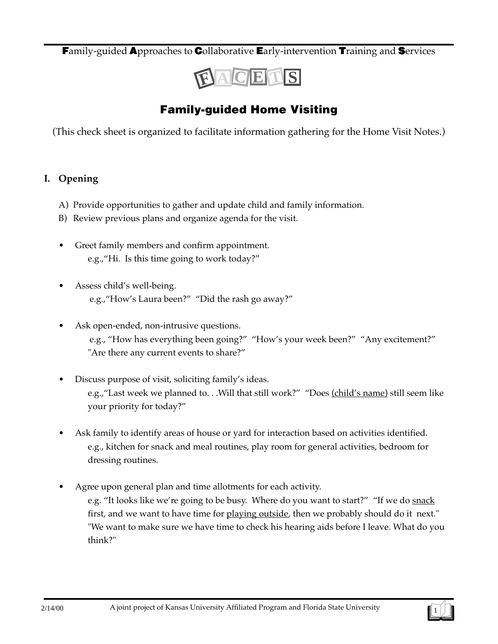**F**amily-guided **A**pproaches to **C**ollaborative **E**arly-intervention **T**raining and **S**ervices



## **Family-guided Home Visiting**

(This check sheet is organized to facilitate information gathering for the Home Visit Notes.)

### **I. Opening**

- A) Provide opportunities to gather and update child and family information.
- B) Review previous plans and organize agenda for the visit.
- Greet family members and confirm appointment. e.g.,"Hi. Is this time going to work today?"
- Assess child's well-being. e.g.,"How's Laura been?" "Did the rash go away?"
- Ask open-ended, non-intrusive questions. e.g., "How has everything been going?" "How's your week been?" "Any excitement?" "Are there any current events to share?"
- Discuss purpose of visit, soliciting family's ideas. e.g., "Last week we planned to. . . Will that still work?" "Does (child's name) still seem like your priority for today?"
- Ask family to identify areas of house or yard for interaction based on activities identified. e.g., kitchen for snack and meal routines, play room for general activities, bedroom for dressing routines.
- Agree upon general plan and time allotments for each activity. e.g. "It looks like we're going to be busy. Where do you want to start?" "If we do snack first, and we want to have time for playing outside, then we probably should do it next." "We want to make sure we have time to check his hearing aids before I leave. What do you think?"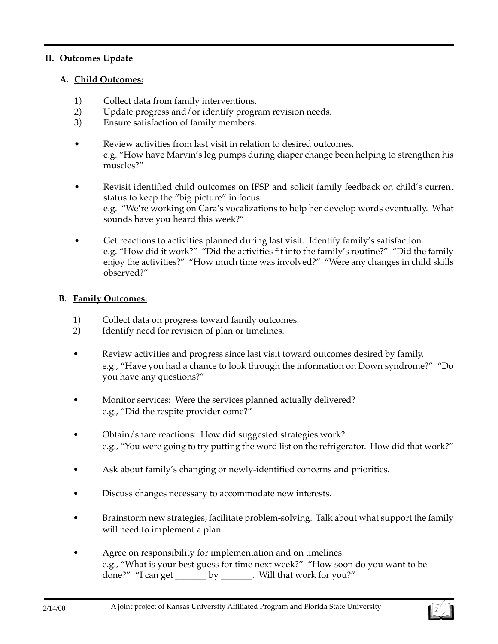#### **II. Outcomes Update**

#### **A. Child Outcomes:**

- 1) Collect data from family interventions.
- 2) Update progress and/or identify program revision needs.
- 3) Ensure satisfaction of family members.
- Review activities from last visit in relation to desired outcomes. e.g. "How have Marvin's leg pumps during diaper change been helping to strengthen his muscles?"
- Revisit identified child outcomes on IFSP and solicit family feedback on child's current status to keep the "big picture" in focus. e.g. "We're working on Cara's vocalizations to help her develop words eventually. What sounds have you heard this week?"
- Get reactions to activities planned during last visit. Identify family's satisfaction. e.g. "How did it work?" "Did the activities fit into the family's routine?" "Did the family enjoy the activities?" "How much time was involved?" "Were any changes in child skills observed?"

#### **B. Family Outcomes:**

- 1) Collect data on progress toward family outcomes.
- 2) Identify need for revision of plan or timelines.
- Review activities and progress since last visit toward outcomes desired by family. e.g., "Have you had a chance to look through the information on Down syndrome?" "Do you have any questions?"
- Monitor services: Were the services planned actually delivered? e.g., "Did the respite provider come?"
- Obtain/share reactions: How did suggested strategies work? e.g., "You were going to try putting the word list on the refrigerator. How did that work?"
- Ask about family's changing or newly-identified concerns and priorities.
- Discuss changes necessary to accommodate new interests.
- Brainstorm new strategies; facilitate problem-solving. Talk about what support the family will need to implement a plan.
- Agree on responsibility for implementation and on timelines. e.g., "What is your best guess for time next week?" "How soon do you want to be done?" "I can get \_\_\_\_\_\_\_ by \_\_\_\_\_\_\_. Will that work for you?"

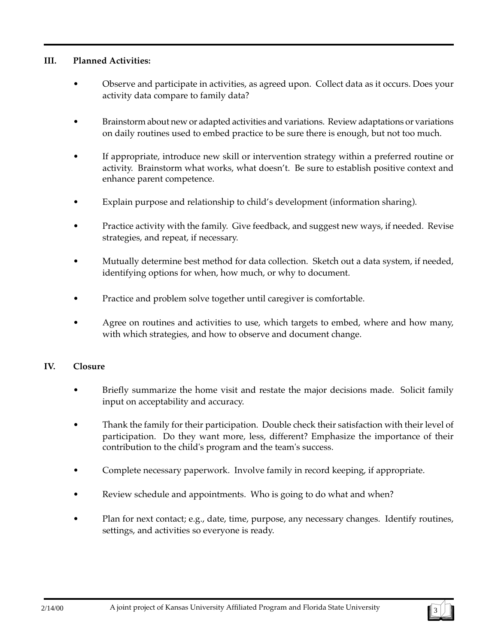#### **III. Planned Activities:**

- Observe and participate in activities, as agreed upon. Collect data as it occurs. Does your activity data compare to family data?
- Brainstorm about new or adapted activities and variations. Review adaptations or variations on daily routines used to embed practice to be sure there is enough, but not too much.
- If appropriate, introduce new skill or intervention strategy within a preferred routine or activity. Brainstorm what works, what doesn't. Be sure to establish positive context and enhance parent competence.
- Explain purpose and relationship to child's development (information sharing).
- Practice activity with the family. Give feedback, and suggest new ways, if needed. Revise strategies, and repeat, if necessary.
- Mutually determine best method for data collection. Sketch out a data system, if needed, identifying options for when, how much, or why to document.
- Practice and problem solve together until caregiver is comfortable.
- Agree on routines and activities to use, which targets to embed, where and how many, with which strategies, and how to observe and document change.

#### **IV. Closure**

- Briefly summarize the home visit and restate the major decisions made. Solicit family input on acceptability and accuracy.
- Thank the family for their participation. Double check their satisfaction with their level of participation. Do they want more, less, different? Emphasize the importance of their contribution to the child's program and the team's success.
- Complete necessary paperwork. Involve family in record keeping, if appropriate.
- Review schedule and appointments. Who is going to do what and when?
- Plan for next contact; e.g., date, time, purpose, any necessary changes. Identify routines, settings, and activities so everyone is ready.